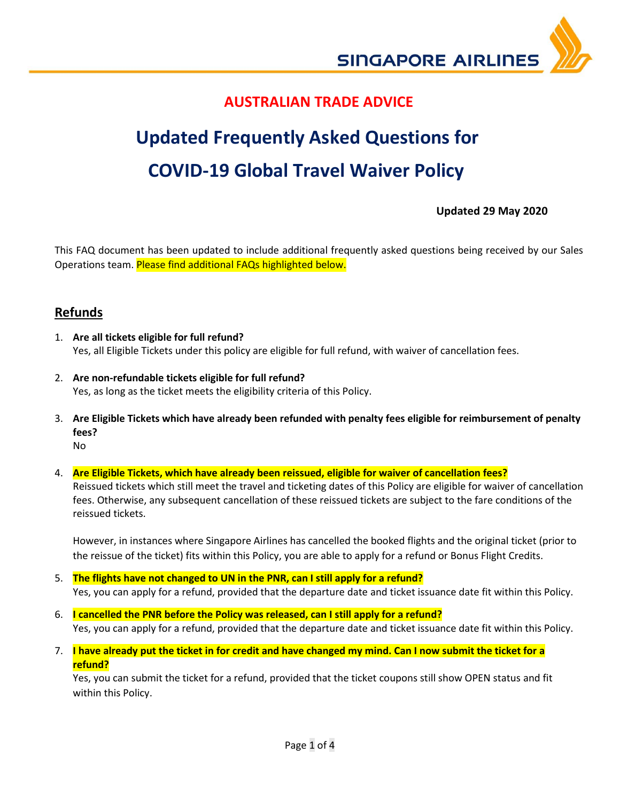

## **AUSTRALIAN TRADE ADVICE**

# **Updated Frequently Asked Questions for COVID-19 Global Travel Waiver Policy**

## **Updated 29 May 2020**

This FAQ document has been updated to include additional frequently asked questions being received by our Sales Operations team. Please find additional FAQs highlighted below.

## **Refunds**

- 1. **Are all tickets eligible for full refund?** Yes, all Eligible Tickets under this policy are eligible for full refund, with waiver of cancellation fees.
- 2. **Are non-refundable tickets eligible for full refund?** Yes, as long as the ticket meets the eligibility criteria of this Policy.
- 3. **Are Eligible Tickets which have already been refunded with penalty fees eligible for reimbursement of penalty fees?** No
- 4. **Are Eligible Tickets, which have already been reissued, eligible for waiver of cancellation fees?** Reissued tickets which still meet the travel and ticketing dates of this Policy are eligible for waiver of cancellation fees. Otherwise, any subsequent cancellation of these reissued tickets are subject to the fare conditions of the reissued tickets.

However, in instances where Singapore Airlines has cancelled the booked flights and the original ticket (prior to the reissue of the ticket) fits within this Policy, you are able to apply for a refund or Bonus Flight Credits.

- 5. **The flights have not changed to UN in the PNR, can I still apply for a refund?** Yes, you can apply for a refund, provided that the departure date and ticket issuance date fit within this Policy.
- 6. **I cancelled the PNR before the Policy was released, can I still apply for a refund?** Yes, you can apply for a refund, provided that the departure date and ticket issuance date fit within this Policy.
- 7. **I have already put the ticket in for credit and have changed my mind. Can I now submit the ticket for a refund?**

Yes, you can submit the ticket for a refund, provided that the ticket coupons still show OPEN status and fit within this Policy.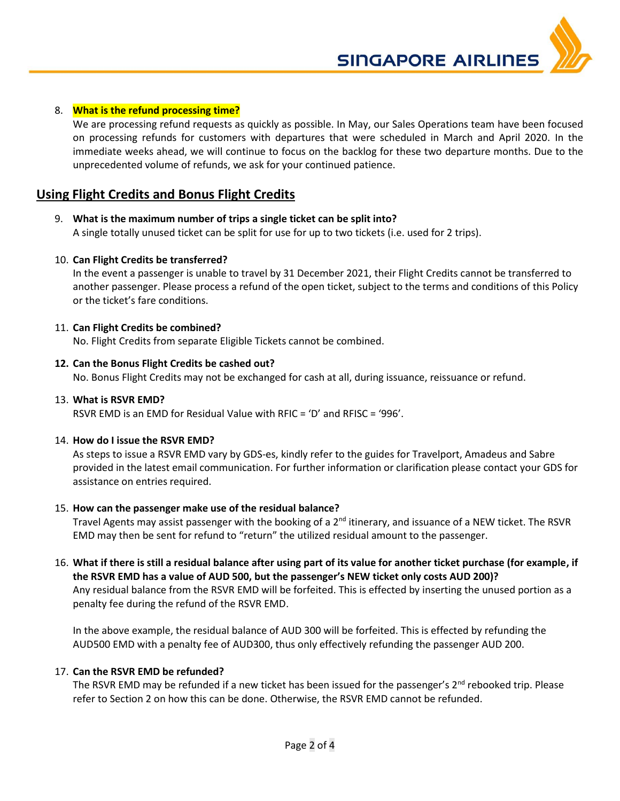**SINGAPORE AIRLINES** 



#### 8. **What is the refund processing time?**

We are processing refund requests as quickly as possible. In May, our Sales Operations team have been focused on processing refunds for customers with departures that were scheduled in March and April 2020. In the immediate weeks ahead, we will continue to focus on the backlog for these two departure months. Due to the unprecedented volume of refunds, we ask for your continued patience.

### **Using Flight Credits and Bonus Flight Credits**

- 9. **What is the maximum number of trips a single ticket can be split into?** A single totally unused ticket can be split for use for up to two tickets (i.e. used for 2 trips).
- 10. **Can Flight Credits be transferred?**

In the event a passenger is unable to travel by 31 December 2021, their Flight Credits cannot be transferred to another passenger. Please process a refund of the open ticket, subject to the terms and conditions of this Policy or the ticket's fare conditions.

#### 11. **Can Flight Credits be combined?**

No. Flight Credits from separate Eligible Tickets cannot be combined.

#### **12. Can the Bonus Flight Credits be cashed out?**

No. Bonus Flight Credits may not be exchanged for cash at all, during issuance, reissuance or refund.

#### 13. **What is RSVR EMD?**

RSVR EMD is an EMD for Residual Value with RFIC = 'D' and RFISC = '996'.

#### 14. **How do I issue the RSVR EMD?**

As steps to issue a RSVR EMD vary by GDS-es, kindly refer to the guides for Travelport, Amadeus and Sabre provided in the latest email communication. For further information or clarification please contact your GDS for assistance on entries required.

#### 15. **How can the passenger make use of the residual balance?**

Travel Agents may assist passenger with the booking of a  $2<sup>nd</sup>$  itinerary, and issuance of a NEW ticket. The RSVR EMD may then be sent for refund to "return" the utilized residual amount to the passenger.

16. **What if there is still a residual balance after using part of its value for another ticket purchase (for example, if the RSVR EMD has a value of AUD 500, but the passenger's NEW ticket only costs AUD 200)?** Any residual balance from the RSVR EMD will be forfeited. This is effected by inserting the unused portion as a penalty fee during the refund of the RSVR EMD.

In the above example, the residual balance of AUD 300 will be forfeited. This is effected by refunding the AUD500 EMD with a penalty fee of AUD300, thus only effectively refunding the passenger AUD 200.

#### 17. **Can the RSVR EMD be refunded?**

The RSVR EMD may be refunded if a new ticket has been issued for the passenger's  $2^{nd}$  rebooked trip. Please refer to Section 2 on how this can be done. Otherwise, the RSVR EMD cannot be refunded.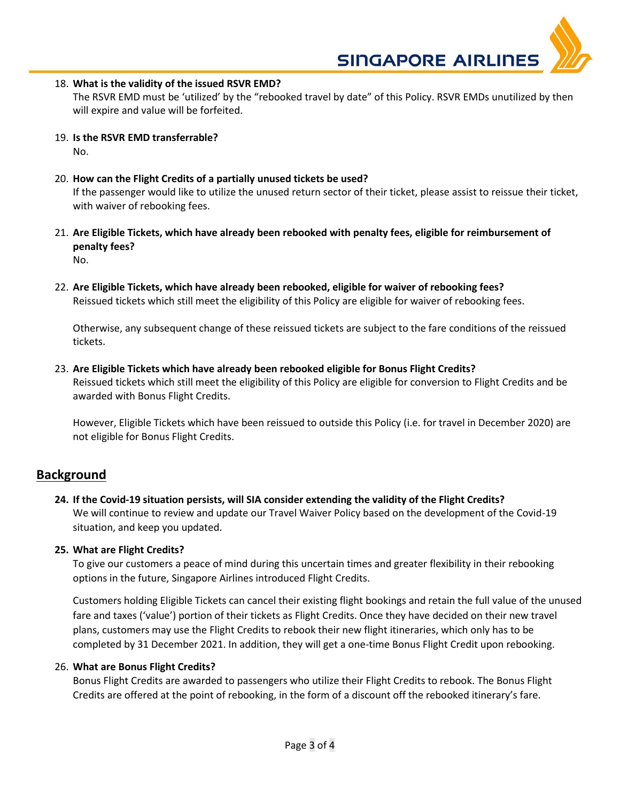**SINGAPORE AIRLINES** 

18. **What is the validity of the issued RSVR EMD?**

The RSVR EMD must be 'utilized' by the "rebooked travel by date" of this Policy. RSVR EMDs unutilized by then will expire and value will be forfeited.

- 19. **Is the RSVR EMD transferrable?** No.
- 20. **How can the Flight Credits of a partially unused tickets be used?** If the passenger would like to utilize the unused return sector of their ticket, please assist to reissue their ticket, with waiver of rebooking fees.
- 21. **Are Eligible Tickets, which have already been rebooked with penalty fees, eligible for reimbursement of penalty fees?** No.
- 22. **Are Eligible Tickets, which have already been rebooked, eligible for waiver of rebooking fees?** Reissued tickets which still meet the eligibility of this Policy are eligible for waiver of rebooking fees.

Otherwise, any subsequent change of these reissued tickets are subject to the fare conditions of the reissued tickets.

23. **Are Eligible Tickets which have already been rebooked eligible for Bonus Flight Credits?** Reissued tickets which still meet the eligibility of this Policy are eligible for conversion to Flight Credits and be awarded with Bonus Flight Credits.

However, Eligible Tickets which have been reissued to outside this Policy (i.e. for travel in December 2020) are not eligible for Bonus Flight Credits.

## **Background**

**24. If the Covid-19 situation persists, will SIA consider extending the validity of the Flight Credits?** We will continue to review and update our Travel Waiver Policy based on the development of the Covid-19 situation, and keep you updated.

#### **25. What are Flight Credits?**

To give our customers a peace of mind during this uncertain times and greater flexibility in their rebooking options in the future, Singapore Airlines introduced Flight Credits.

Customers holding Eligible Tickets can cancel their existing flight bookings and retain the full value of the unused fare and taxes ('value') portion of their tickets as Flight Credits. Once they have decided on their new travel plans, customers may use the Flight Credits to rebook their new flight itineraries, which only has to be completed by 31 December 2021. In addition, they will get a one-time Bonus Flight Credit upon rebooking.

#### 26. **What are Bonus Flight Credits?**

Bonus Flight Credits are awarded to passengers who utilize their Flight Credits to rebook. The Bonus Flight Credits are offered at the point of rebooking, in the form of a discount off the rebooked itinerary's fare.